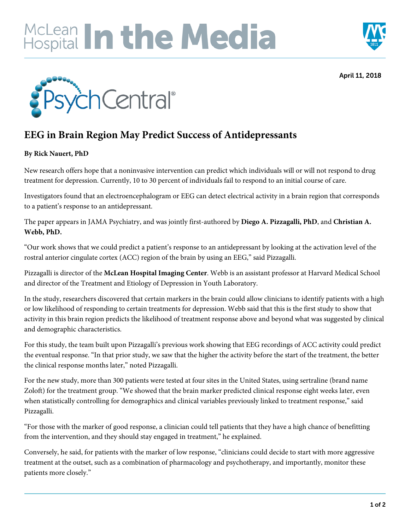## **IcLean In the Media**



April 11, 2018



## **EEG in Brain Region May Predict Success of Antidepressants**

## **By Rick Nauert, PhD**

New research offers hope that a noninvasive intervention can predict which individuals will or will not respond to drug treatment for depression. Currently, 10 to 30 percent of individuals fail to respond to an initial course of care.

Investigators found that an electroencephalogram or EEG can detect electrical activity in a brain region that corresponds to a patient's response to an antidepressant.

The paper appears in JAMA Psychiatry, and was jointly first-authored by **Diego A. Pizzagalli, PhD**, and **Christian A. Webb, PhD.**

"Our work shows that we could predict a patient's response to an antidepressant by looking at the activation level of the rostral anterior cingulate cortex (ACC) region of the brain by using an EEG," said Pizzagalli.

Pizzagalli is director of the **McLean Hospital Imaging Center**. Webb is an assistant professor at Harvard Medical School and director of the Treatment and Etiology of Depression in Youth Laboratory.

In the study, researchers discovered that certain markers in the brain could allow clinicians to identify patients with a high or low likelihood of responding to certain treatments for depression. Webb said that this is the first study to show that activity in this brain region predicts the likelihood of treatment response above and beyond what was suggested by clinical and demographic characteristics.

For this study, the team built upon Pizzagalli's previous work showing that EEG recordings of ACC activity could predict the eventual response. "In that prior study, we saw that the higher the activity before the start of the treatment, the better the clinical response months later," noted Pizzagalli.

For the new study, more than 300 patients were tested at four sites in the United States, using sertraline (brand name Zoloft) for the treatment group. "We showed that the brain marker predicted clinical response eight weeks later, even when statistically controlling for demographics and clinical variables previously linked to treatment response," said Pizzagalli.

"For those with the marker of good response, a clinician could tell patients that they have a high chance of benefitting from the intervention, and they should stay engaged in treatment," he explained.

Conversely, he said, for patients with the marker of low response, "clinicians could decide to start with more aggressive treatment at the outset, such as a combination of pharmacology and psychotherapy, and importantly, monitor these patients more closely."